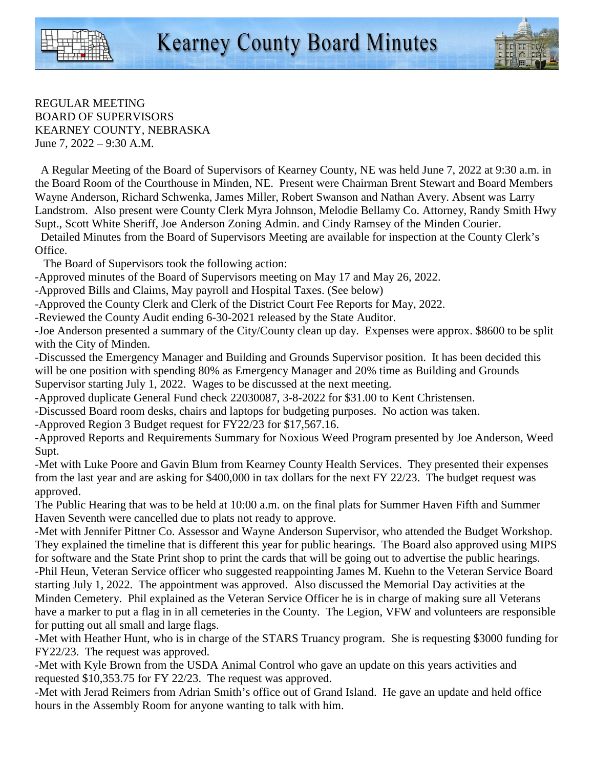

REGULAR MEETING BOARD OF SUPERVISORS KEARNEY COUNTY, NEBRASKA June 7, 2022 – 9:30 A.M.

 A Regular Meeting of the Board of Supervisors of Kearney County, NE was held June 7, 2022 at 9:30 a.m. in the Board Room of the Courthouse in Minden, NE. Present were Chairman Brent Stewart and Board Members Wayne Anderson, Richard Schwenka, James Miller, Robert Swanson and Nathan Avery. Absent was Larry Landstrom. Also present were County Clerk Myra Johnson, Melodie Bellamy Co. Attorney, Randy Smith Hwy Supt., Scott White Sheriff, Joe Anderson Zoning Admin. and Cindy Ramsey of the Minden Courier.

 Detailed Minutes from the Board of Supervisors Meeting are available for inspection at the County Clerk's Office.

The Board of Supervisors took the following action:

-Approved minutes of the Board of Supervisors meeting on May 17 and May 26, 2022.

-Approved Bills and Claims, May payroll and Hospital Taxes. (See below)

-Approved the County Clerk and Clerk of the District Court Fee Reports for May, 2022.

-Reviewed the County Audit ending 6-30-2021 released by the State Auditor.

-Joe Anderson presented a summary of the City/County clean up day. Expenses were approx. \$8600 to be split with the City of Minden.

-Discussed the Emergency Manager and Building and Grounds Supervisor position. It has been decided this will be one position with spending 80% as Emergency Manager and 20% time as Building and Grounds Supervisor starting July 1, 2022. Wages to be discussed at the next meeting.

-Approved duplicate General Fund check 22030087, 3-8-2022 for \$31.00 to Kent Christensen.

-Discussed Board room desks, chairs and laptops for budgeting purposes. No action was taken.

-Approved Region 3 Budget request for FY22/23 for \$17,567.16.

-Approved Reports and Requirements Summary for Noxious Weed Program presented by Joe Anderson, Weed Supt.

-Met with Luke Poore and Gavin Blum from Kearney County Health Services. They presented their expenses from the last year and are asking for \$400,000 in tax dollars for the next FY 22/23. The budget request was approved.

The Public Hearing that was to be held at 10:00 a.m. on the final plats for Summer Haven Fifth and Summer Haven Seventh were cancelled due to plats not ready to approve.

-Met with Jennifer Pittner Co. Assessor and Wayne Anderson Supervisor, who attended the Budget Workshop. They explained the timeline that is different this year for public hearings. The Board also approved using MIPS for software and the State Print shop to print the cards that will be going out to advertise the public hearings. -Phil Heun, Veteran Service officer who suggested reappointing James M. Kuehn to the Veteran Service Board starting July 1, 2022. The appointment was approved. Also discussed the Memorial Day activities at the Minden Cemetery. Phil explained as the Veteran Service Officer he is in charge of making sure all Veterans have a marker to put a flag in in all cemeteries in the County. The Legion, VFW and volunteers are responsible for putting out all small and large flags.

-Met with Heather Hunt, who is in charge of the STARS Truancy program. She is requesting \$3000 funding for FY22/23. The request was approved.

-Met with Kyle Brown from the USDA Animal Control who gave an update on this years activities and requested \$10,353.75 for FY 22/23. The request was approved.

-Met with Jerad Reimers from Adrian Smith's office out of Grand Island. He gave an update and held office hours in the Assembly Room for anyone wanting to talk with him.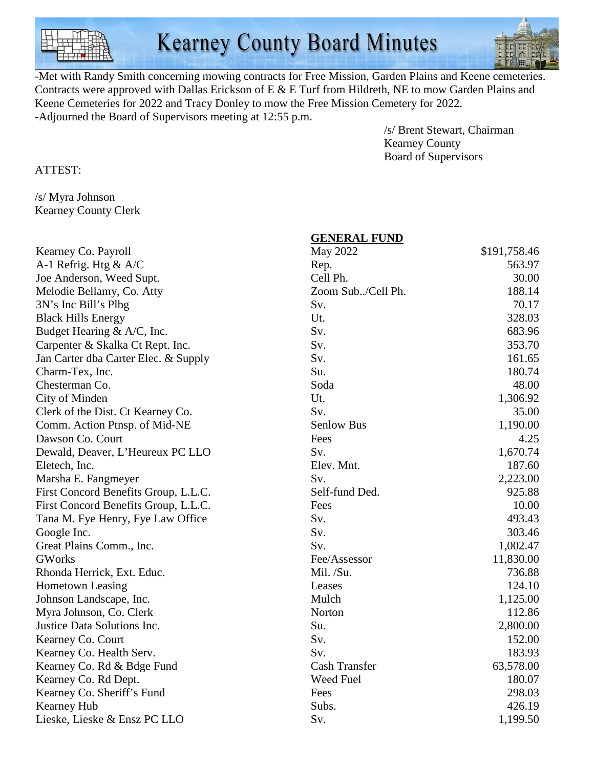

-Met with Randy Smith concerning mowing contracts for Free Mission, Garden Plains and Keene cemeteries. Contracts were approved with Dallas Erickson of E & E Turf from Hildreth, NE to mow Garden Plains and Keene Cemeteries for 2022 and Tracy Donley to mow the Free Mission Cemetery for 2022. -Adjourned the Board of Supervisors meeting at 12:55 p.m.

> /s/ Brent Stewart, Chairman Kearney County Board of Supervisors

ATTEST:

/s/ Myra Johnson Kearney County Clerk

|                                      | <b>GENERAL FUND</b>  |              |
|--------------------------------------|----------------------|--------------|
| Kearney Co. Payroll                  | May 2022             | \$191,758.46 |
| A-1 Refrig. Htg $\&$ A/C             | Rep.                 | 563.97       |
| Joe Anderson, Weed Supt.             | Cell Ph.             | 30.00        |
| Melodie Bellamy, Co. Atty            | Zoom Sub/Cell Ph.    | 188.14       |
| 3N's Inc Bill's Plbg                 | Sv.                  | 70.17        |
| <b>Black Hills Energy</b>            | Ut.                  | 328.03       |
| Budget Hearing & A/C, Inc.           | Sv.                  | 683.96       |
| Carpenter & Skalka Ct Rept. Inc.     | Sv.                  | 353.70       |
| Jan Carter dba Carter Elec. & Supply | Sv.                  | 161.65       |
| Charm-Tex, Inc.                      | Su.                  | 180.74       |
| Chesterman Co.                       | Soda                 | 48.00        |
| City of Minden                       | Ut.                  | 1,306.92     |
| Clerk of the Dist. Ct Kearney Co.    | Sv.                  | 35.00        |
| Comm. Action Ptnsp. of Mid-NE        | Senlow Bus           | 1,190.00     |
| Dawson Co. Court                     | Fees                 | 4.25         |
| Dewald, Deaver, L'Heureux PC LLO     | Sv.                  | 1,670.74     |
| Eletech, Inc.                        | Elev. Mnt.           | 187.60       |
| Marsha E. Fangmeyer                  | Sv.                  | 2,223.00     |
| First Concord Benefits Group, L.L.C. | Self-fund Ded.       | 925.88       |
| First Concord Benefits Group, L.L.C. | Fees                 | 10.00        |
| Tana M. Fye Henry, Fye Law Office    | Sv.                  | 493.43       |
| Google Inc.                          | Sv.                  | 303.46       |
| Great Plains Comm., Inc.             | Sv.                  | 1,002.47     |
| <b>GWorks</b>                        | Fee/Assessor         | 11,830.00    |
| Rhonda Herrick, Ext. Educ.           | Mil. $/Su$ .         | 736.88       |
| <b>Hometown Leasing</b>              | Leases               | 124.10       |
| Johnson Landscape, Inc.              | Mulch                | 1,125.00     |
| Myra Johnson, Co. Clerk              | Norton               | 112.86       |
| Justice Data Solutions Inc.          | Su.                  | 2,800.00     |
| Kearney Co. Court                    | Sv.                  | 152.00       |
| Kearney Co. Health Serv.             | Sv.                  | 183.93       |
| Kearney Co. Rd & Bdge Fund           | <b>Cash Transfer</b> | 63,578.00    |
| Kearney Co. Rd Dept.                 | Weed Fuel            | 180.07       |
| Kearney Co. Sheriff's Fund           | Fees                 | 298.03       |
| Kearney Hub                          | Subs.                | 426.19       |
| Lieske, Lieske & Ensz PC LLO         | Sv.                  | 1,199.50     |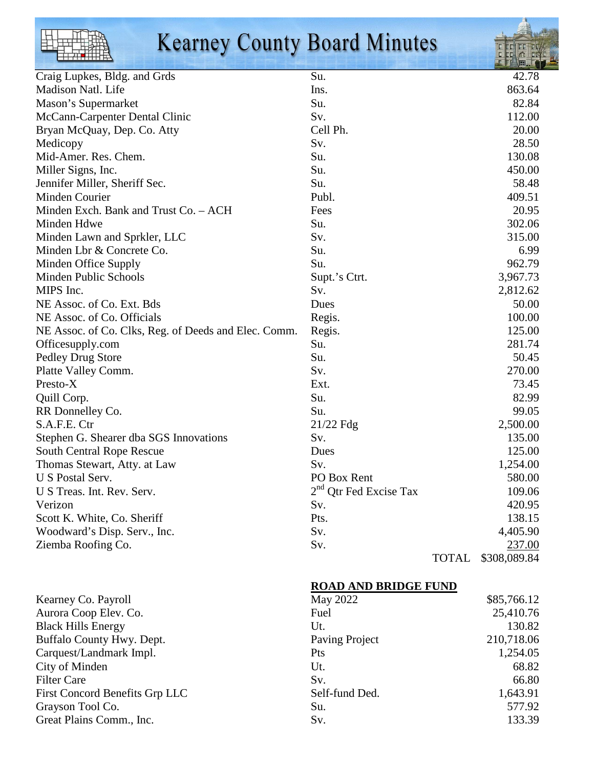|--|

## **Kearney County Board Minutes**

| Craig Lupkes, Bldg. and Grds                         | Su.                      |              | 42.78        |
|------------------------------------------------------|--------------------------|--------------|--------------|
| Madison Natl. Life                                   | Ins.                     |              | 863.64       |
| Mason's Supermarket                                  | Su.                      |              | 82.84        |
| McCann-Carpenter Dental Clinic                       | Sv.                      |              | 112.00       |
| Bryan McQuay, Dep. Co. Atty                          | Cell Ph.                 |              | 20.00        |
| Medicopy                                             | Sv.                      |              | 28.50        |
| Mid-Amer. Res. Chem.                                 | Su.                      |              | 130.08       |
| Miller Signs, Inc.                                   | Su.                      |              | 450.00       |
| Jennifer Miller, Sheriff Sec.                        | Su.                      |              | 58.48        |
| Minden Courier                                       | Publ.                    |              | 409.51       |
| Minden Exch. Bank and Trust Co. - ACH                | Fees                     |              | 20.95        |
| Minden Hdwe                                          | Su.                      |              | 302.06       |
| Minden Lawn and Sprkler, LLC                         | Sv.                      |              | 315.00       |
| Minden Lbr & Concrete Co.                            | Su.                      |              | 6.99         |
| Minden Office Supply                                 | Su.                      |              | 962.79       |
| <b>Minden Public Schools</b>                         | Supt.'s Ctrt.            |              | 3,967.73     |
| MIPS Inc.                                            | Sv.                      |              | 2,812.62     |
| NE Assoc. of Co. Ext. Bds                            | Dues                     |              | 50.00        |
| NE Assoc. of Co. Officials                           | Regis.                   |              | 100.00       |
| NE Assoc. of Co. Clks, Reg. of Deeds and Elec. Comm. | Regis.                   |              | 125.00       |
| Officesupply.com                                     | Su.                      |              | 281.74       |
| Pedley Drug Store                                    | Su.                      |              | 50.45        |
| Platte Valley Comm.                                  | Sv.                      |              | 270.00       |
| Presto-X                                             | Ext.                     |              | 73.45        |
| Quill Corp.                                          | Su.                      |              | 82.99        |
| RR Donnelley Co.                                     | Su.                      |              | 99.05        |
| S.A.F.E. Ctr                                         | 21/22 Fdg                |              | 2,500.00     |
| Stephen G. Shearer dba SGS Innovations               | Sv.                      |              | 135.00       |
| <b>South Central Rope Rescue</b>                     | Dues                     |              | 125.00       |
| Thomas Stewart, Atty. at Law                         | Sv.                      |              | 1,254.00     |
| U S Postal Serv.                                     | PO Box Rent              |              | 580.00       |
| U S Treas. Int. Rev. Serv.                           | $2nd$ Qtr Fed Excise Tax |              | 109.06       |
| Verizon                                              | Sv.                      |              | 420.95       |
| Scott K. White, Co. Sheriff                          | Pts.                     |              | 138.15       |
| Woodward's Disp. Serv., Inc.                         | Sv.                      |              | 4,405.90     |
| Ziemba Roofing Co.                                   | Sv.                      |              | 237.00       |
|                                                      |                          | <b>TOTAL</b> | \$308,089.84 |

## **ROAD AND BRIDGE FUND**

| Kearney Co. Payroll                   | May 2022       | \$85,766.12 |
|---------------------------------------|----------------|-------------|
| Aurora Coop Elev. Co.                 | Fuel           | 25,410.76   |
| <b>Black Hills Energy</b>             | Ut.            | 130.82      |
| <b>Buffalo County Hwy. Dept.</b>      | Paving Project | 210,718.06  |
| Carquest/Landmark Impl.               | Pts            | 1,254.05    |
| City of Minden                        | Ut.            | 68.82       |
| <b>Filter Care</b>                    | Sv.            | 66.80       |
| <b>First Concord Benefits Grp LLC</b> | Self-fund Ded. | 1,643.91    |
| Grayson Tool Co.                      | Su.            | 577.92      |
| Great Plains Comm., Inc.              | Sv.            | 133.39      |
|                                       |                |             |